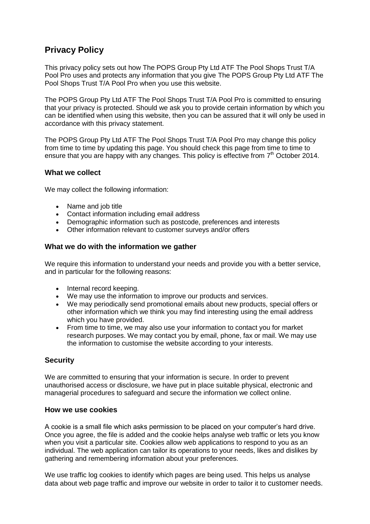# **Privacy Policy**

This privacy policy sets out how The POPS Group Pty Ltd ATF The Pool Shops Trust T/A Pool Pro uses and protects any information that you give The POPS Group Pty Ltd ATF The Pool Shops Trust T/A Pool Pro when you use this website.

The POPS Group Pty Ltd ATF The Pool Shops Trust T/A Pool Pro is committed to ensuring that your privacy is protected. Should we ask you to provide certain information by which you can be identified when using this website, then you can be assured that it will only be used in accordance with this privacy statement.

The POPS Group Pty Ltd ATF The Pool Shops Trust T/A Pool Pro may change this policy from time to time by updating this page. You should check this page from time to time to ensure that you are happy with any changes. This policy is effective from  $7<sup>th</sup>$  October 2014.

## **What we collect**

We may collect the following information:

- Name and job title
- Contact information including email address
- Demographic information such as postcode, preferences and interests
- Other information relevant to customer surveys and/or offers

# **What we do with the information we gather**

We require this information to understand your needs and provide you with a better service, and in particular for the following reasons:

- Internal record keeping.
- We may use the information to improve our products and services.
- We may periodically send promotional emails about new products, special offers or other information which we think you may find interesting using the email address which you have provided.
- From time to time, we may also use your information to contact you for market research purposes. We may contact you by email, phone, fax or mail. We may use the information to customise the website according to your interests.

# **Security**

We are committed to ensuring that your information is secure. In order to prevent unauthorised access or disclosure, we have put in place suitable physical, electronic and managerial procedures to safeguard and secure the information we collect online.

#### **How we use cookies**

A cookie is a small file which asks permission to be placed on your computer's hard drive. Once you agree, the file is added and the cookie helps analyse web traffic or lets you know when you visit a particular site. Cookies allow web applications to respond to you as an individual. The web application can tailor its operations to your needs, likes and dislikes by gathering and remembering information about your preferences.

We use traffic log cookies to identify which pages are being used. This helps us analyse data about web page traffic and improve our website in order to tailor it to customer needs.